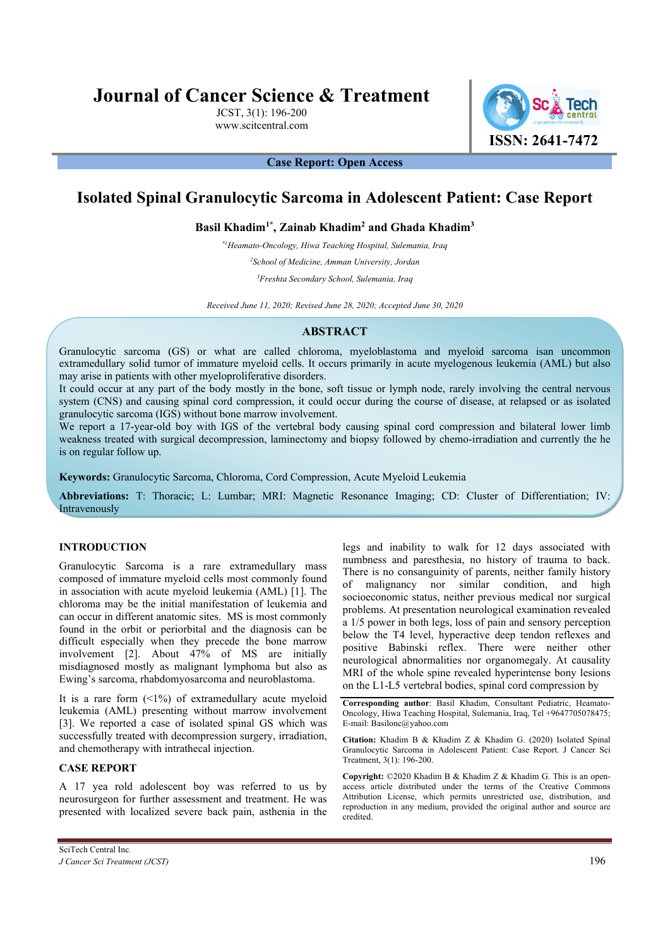# **Journal of Cancer Science & Treatment**

JCST, 3(1): 196-200 www.scitcentral.com



**Case Report: Open Access** 

## **Isolated Spinal Granulocytic Sarcoma in Adolescent Patient: Case Report**

**Basil Khadim1\*, Zainab Khadim<sup>2</sup> and Ghada Khadim<sup>3</sup>**

*\*1Heamato-Oncology, Hiwa Teaching Hospital, Sulemania, Iraq* 

*<sup>2</sup>School of Medicine, Amman University, Jordan* 

*<sup>3</sup>Freshta Secondary School, Sulemania, Iraq* 

*Received June 11, 2020; Revised June 28, 2020; Accepted June 30, 2020* 

#### **ABSTRACT**

Granulocytic sarcoma (GS) or what are called chloroma, myeloblastoma and myeloid sarcoma isan uncommon extramedullary solid tumor of immature myeloid cells. It occurs primarily in acute myelogenous leukemia (AML) but also may arise in patients with other myeloproliferative disorders.

It could occur at any part of the body mostly in the bone, soft tissue or lymph node, rarely involving the central nervous system (CNS) and causing spinal cord compression, it could occur during the course of disease, at relapsed or as isolated granulocytic sarcoma (IGS) without bone marrow involvement.

We report a 17-year-old boy with IGS of the vertebral body causing spinal cord compression and bilateral lower limb weakness treated with surgical decompression, laminectomy and biopsy followed by chemo-irradiation and currently the he is on regular follow up.

**Keywords:** Granulocytic Sarcoma, Chloroma, Cord Compression, Acute Myeloid Leukemia

**Abbreviations:** T: Thoracic; L: Lumbar; MRI: Magnetic Resonance Imaging; CD: Cluster of Differentiation; IV: Intravenously

### **INTRODUCTION**

Granulocytic Sarcoma is a rare extramedullary mass composed of immature myeloid cells most commonly found in association with acute myeloid leukemia (AML) [1]. The chloroma may be the initial manifestation of leukemia and can occur in different anatomic sites. MS is most commonly found in the orbit or periorbital and the diagnosis can be difficult especially when they precede the bone marrow involvement [2]. About 47% of MS are initially misdiagnosed mostly as malignant lymphoma but also as Ewing's sarcoma, rhabdomyosarcoma and neuroblastoma.

It is a rare form  $(1\%)$  of extramedullary acute myeloid leukemia (AML) presenting without marrow involvement [3]. We reported a case of isolated spinal GS which was successfully treated with decompression surgery, irradiation, and chemotherapy with intrathecal injection.

### **CASE REPORT**

A 17 yea rold adolescent boy was referred to us by neurosurgeon for further assessment and treatment. He was presented with localized severe back pain, asthenia in the legs and inability to walk for 12 days associated with numbness and paresthesia, no history of trauma to back. There is no consanguinity of parents, neither family history of malignancy nor similar condition, and high socioeconomic status, neither previous medical nor surgical problems. At presentation neurological examination revealed a 1/5 power in both legs, loss of pain and sensory perception below the T4 level, hyperactive deep tendon reflexes and positive Babinski reflex. There were neither other neurological abnormalities nor organomegaly. At causality MRI of the whole spine revealed hyperintense bony lesions on the L1-L5 vertebral bodies, spinal cord compression by

**Corresponding author**: Basil Khadim, Consultant Pediatric, Heamato-Oncology, Hiwa Teaching Hospital, Sulemania, Iraq, Tel +9647705078475; E-mail: Basilonc@yahoo.com

**Citation:** Khadim B & Khadim Z & Khadim G. (2020) Isolated Spinal Granulocytic Sarcoma in Adolescent Patient: Case Report. J Cancer Sci Treatment, 3(1): 196-200.

**Copyright:** ©2020 Khadim B & Khadim Z & Khadim G. This is an openaccess article distributed under the terms of the Creative Commons Attribution License, which permits unrestricted use, distribution, and reproduction in any medium, provided the original author and source are credited.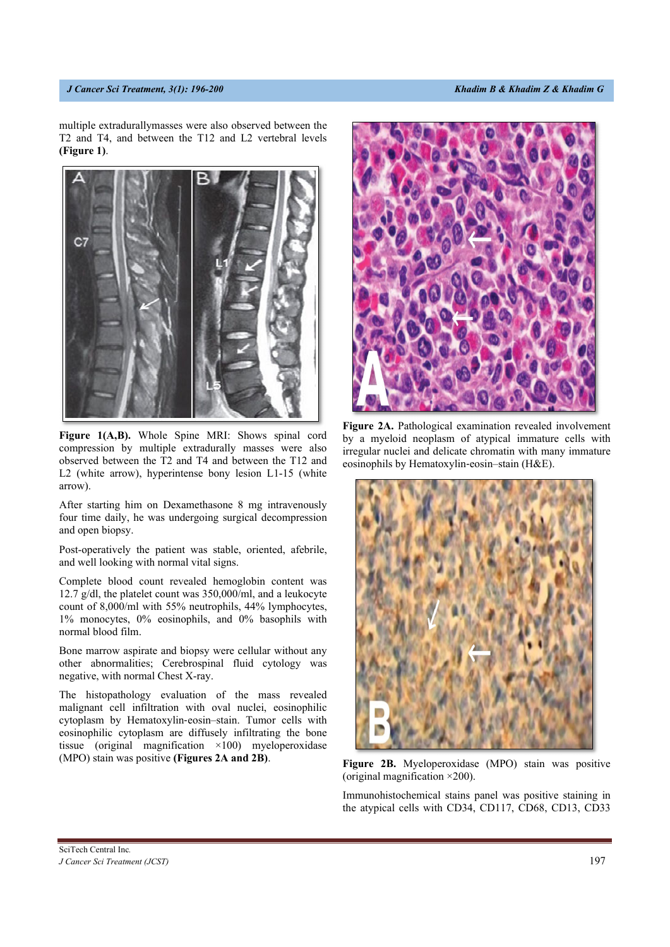multiple extradurallymasses were also observed between the T2 and T4, and between the T12 and L2 vertebral levels **(Figure 1)**.



Figure 1(A,B). Whole Spine MRI: Shows spinal cord compression by multiple extradurally masses were also observed between the T2 and T4 and between the T12 and L2 (white arrow), hyperintense bony lesion L1-15 (white arrow).

After starting him on Dexamethasone 8 mg intravenously four time daily, he was undergoing surgical decompression and open biopsy.

Post-operatively the patient was stable, oriented, afebrile, and well looking with normal vital signs.

Complete blood count revealed hemoglobin content was 12.7 g/dl, the platelet count was 350,000/ml, and a leukocyte count of 8,000/ml with 55% neutrophils, 44% lymphocytes, 1% monocytes, 0% eosinophils, and 0% basophils with normal blood film.

Bone marrow aspirate and biopsy were cellular without any other abnormalities; Cerebrospinal fluid cytology was negative, with normal Chest X-ray.

The histopathology evaluation of the mass revealed malignant cell infiltration with oval nuclei, eosinophilic cytoplasm by Hematoxylin‐eosin–stain. Tumor cells with eosinophilic cytoplasm are diffusely infiltrating the bone tissue (original magnification ×100) myeloperoxidase (MPO) stain was positive **(Figures 2A and 2B)**.



**Figure 2A.** Pathological examination revealed involvement by a myeloid neoplasm of atypical immature cells with irregular nuclei and delicate chromatin with many immature eosinophils by Hematoxylin‐eosin–stain (H&E).



**Figure 2B.** Myeloperoxidase (MPO) stain was positive (original magnification ×200).

Immunohistochemical stains panel was positive staining in the atypical cells with CD34, CD117, CD68, CD13, CD33

SciTech Central Inc*. J Cancer Sci Treatment (JCST)* 197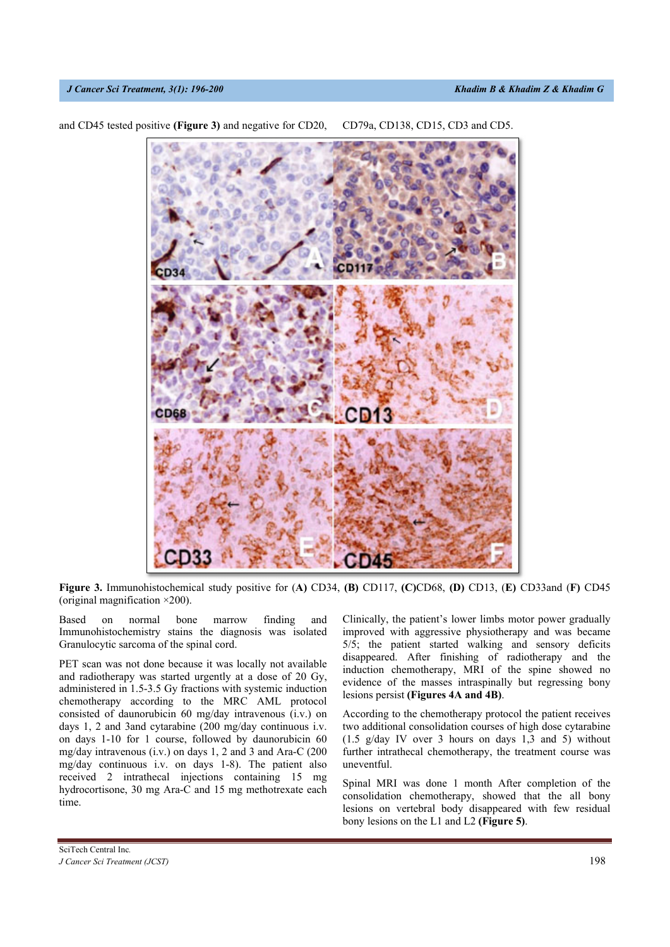#### *J Cancer Sci Treatment, 3(1): 196-200* And *J Cancer Sci Treatment, 3(1): 196-200* Cancer Cancer Cancer Cancer Cancer Cancer Cancer Cancer Cancer Cancer Cancer Cancer Cancer Cancer Cancer Cancer Cancer Cancer Cancer Cance

**GD45** 

and CD45 tested positive **(Figure 3)** and negative for CD20, CD79a, CD138, CD15, CD3 and CD5.

**Figure 3.** Immunohistochemical study positive for (**A)** CD34, **(B)** CD117, **(C)**CD68, **(D)** CD13, (**E)** CD33and (**F)** CD45 (original magnification ×200).

Based on normal bone marrow finding and Immunohistochemistry stains the diagnosis was isolated Granulocytic sarcoma of the spinal cord.

PET scan was not done because it was locally not available and radiotherapy was started urgently at a dose of 20 Gy, administered in 1.5-3.5 Gy fractions with systemic induction chemotherapy according to the MRC AML protocol consisted of daunorubicin 60 mg/day intravenous (i.v.) on days 1, 2 and 3and cytarabine (200 mg/day continuous i.v. on days 1-10 for 1 course, followed by daunorubicin 60 mg/day intravenous (i.v.) on days 1, 2 and 3 and Ara-C (200 mg/day continuous i.v. on days 1-8). The patient also received 2 intrathecal injections containing 15 mg hydrocortisone, 30 mg Ara-C and 15 mg methotrexate each time.

Clinically, the patient's lower limbs motor power gradually improved with aggressive physiotherapy and was became 5/5; the patient started walking and sensory deficits disappeared. After finishing of radiotherapy and the induction chemotherapy, MRI of the spine showed no evidence of the masses intraspinally but regressing bony lesions persist **(Figures 4A and 4B)**.

According to the chemotherapy protocol the patient receives two additional consolidation courses of high dose cytarabine (1.5 g/day IV over 3 hours on days 1,3 and 5) without further intrathecal chemotherapy, the treatment course was uneventful.

Spinal MRI was done 1 month After completion of the consolidation chemotherapy, showed that the all bony lesions on vertebral body disappeared with few residual bony lesions on the L1 and L2 **(Figure 5)**.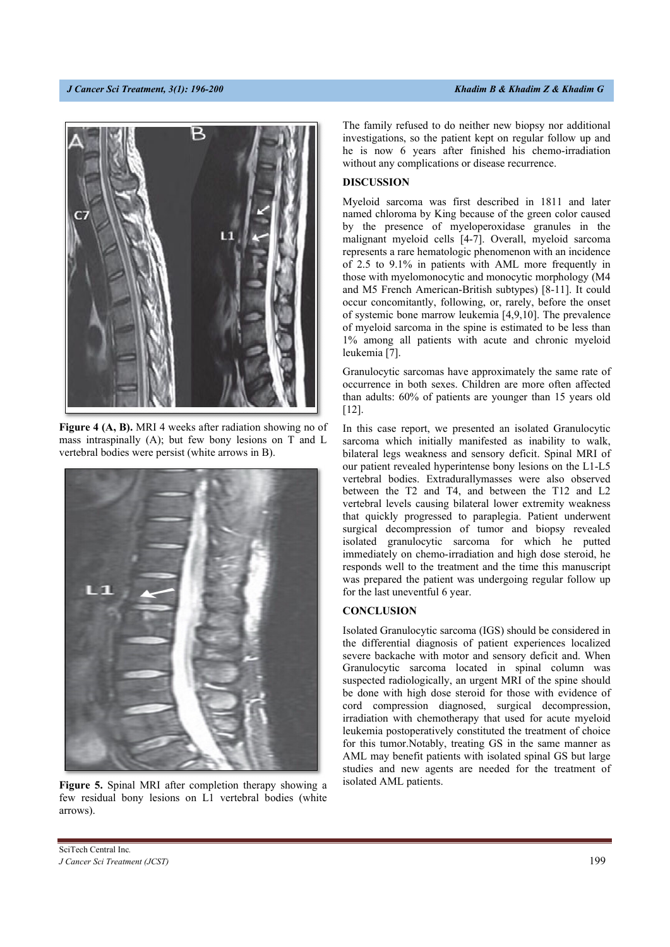

**Figure 4 (A, B).** MRI 4 weeks after radiation showing no of mass intraspinally (A); but few bony lesions on T and L vertebral bodies were persist (white arrows in B).



**Figure 5.** Spinal MRI after completion therapy showing a few residual bony lesions on L1 vertebral bodies (white arrows).

The family refused to do neither new biopsy nor additional investigations, so the patient kept on regular follow up and he is now 6 years after finished his chemo-irradiation without any complications or disease recurrence.

#### **DISCUSSION**

Myeloid sarcoma was first described in 1811 and later named chloroma by King because of the green color caused by the presence of myeloperoxidase granules in the malignant myeloid cells [4-7]. Overall, myeloid sarcoma represents a rare hematologic phenomenon with an incidence of 2.5 to 9.1% in patients with AML more frequently in those with myelomonocytic and monocytic morphology (M4 and M5 French American-British subtypes) [8-11]. It could occur concomitantly, following, or, rarely, before the onset of systemic bone marrow leukemia [4,9,10]. The prevalence of myeloid sarcoma in the spine is estimated to be less than 1% among all patients with acute and chronic myeloid leukemia [7].

Granulocytic sarcomas have approximately the same rate of occurrence in both sexes. Children are more often affected than adults: 60% of patients are younger than 15 years old [12].

In this case report, we presented an isolated Granulocytic sarcoma which initially manifested as inability to walk, bilateral legs weakness and sensory deficit. Spinal MRI of our patient revealed hyperintense bony lesions on the L1-L5 vertebral bodies. Extradurallymasses were also observed between the T2 and T4, and between the T12 and L2 vertebral levels causing bilateral lower extremity weakness that quickly progressed to paraplegia. Patient underwent surgical decompression of tumor and biopsy revealed isolated granulocytic sarcoma for which he putted immediately on chemo-irradiation and high dose steroid, he responds well to the treatment and the time this manuscript was prepared the patient was undergoing regular follow up for the last uneventful 6 year.

#### **CONCLUSION**

Isolated Granulocytic sarcoma (IGS) should be considered in the differential diagnosis of patient experiences localized severe backache with motor and sensory deficit and. When Granulocytic sarcoma located in spinal column was suspected radiologically, an urgent MRI of the spine should be done with high dose steroid for those with evidence of cord compression diagnosed, surgical decompression, irradiation with chemotherapy that used for acute myeloid leukemia postoperatively constituted the treatment of choice for this tumor.Notably, treating GS in the same manner as AML may benefit patients with isolated spinal GS but large studies and new agents are needed for the treatment of isolated AML patients.

SciTech Central Inc*. J Cancer Sci Treatment (JCST)* 199